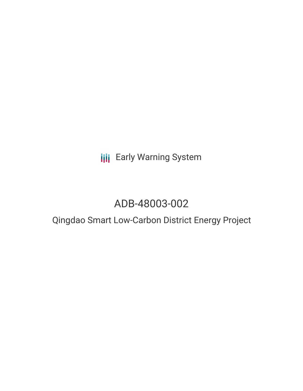**III** Early Warning System

# ADB-48003-002

# Qingdao Smart Low-Carbon District Energy Project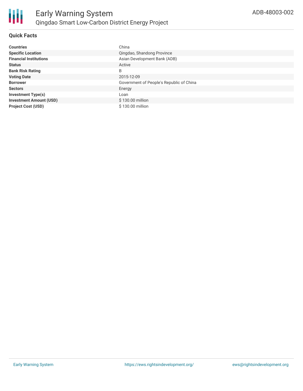

## **Quick Facts**

| <b>Countries</b>               | China                                    |
|--------------------------------|------------------------------------------|
| <b>Specific Location</b>       | Qingdao, Shandong Province               |
| <b>Financial Institutions</b>  | Asian Development Bank (ADB)             |
| <b>Status</b>                  | Active                                   |
| <b>Bank Risk Rating</b>        | B                                        |
| <b>Voting Date</b>             | 2015-12-09                               |
| <b>Borrower</b>                | Government of People's Republic of China |
| <b>Sectors</b>                 | Energy                                   |
| <b>Investment Type(s)</b>      | Loan                                     |
| <b>Investment Amount (USD)</b> | \$130.00 million                         |
| <b>Project Cost (USD)</b>      | \$130.00 million                         |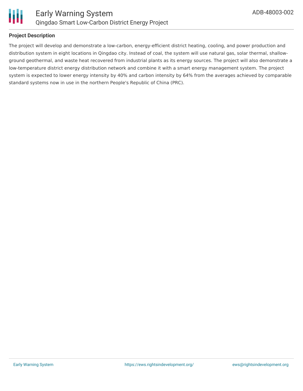

#### **Project Description**

The project will develop and demonstrate a low-carbon, energy-efficient district heating, cooling, and power production and distribution system in eight locations in Qingdao city. Instead of coal, the system will use natural gas, solar thermal, shallowground geothermal, and waste heat recovered from industrial plants as its energy sources. The project will also demonstrate a low-temperature district energy distribution network and combine it with a smart energy management system. The project system is expected to lower energy intensity by 40% and carbon intensity by 64% from the averages achieved by comparable standard systems now in use in the northern People's Republic of China (PRC).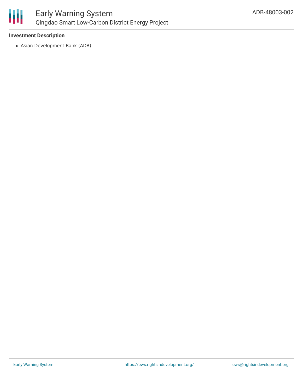

#### **Investment Description**

Asian Development Bank (ADB)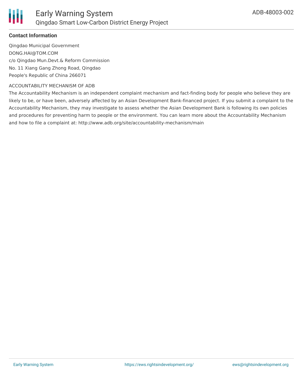

#### **Contact Information**

Qingdao Municipal Government DONG.HAI@TOM.COM c/o Qingdao Mun.Devt.& Reform Commission No. 11 Xiang Gang Zhong Road, Qingdao People's Republic of China 266071

#### ACCOUNTABILITY MECHANISM OF ADB

The Accountability Mechanism is an independent complaint mechanism and fact-finding body for people who believe they are likely to be, or have been, adversely affected by an Asian Development Bank-financed project. If you submit a complaint to the Accountability Mechanism, they may investigate to assess whether the Asian Development Bank is following its own policies and procedures for preventing harm to people or the environment. You can learn more about the Accountability Mechanism and how to file a complaint at: http://www.adb.org/site/accountability-mechanism/main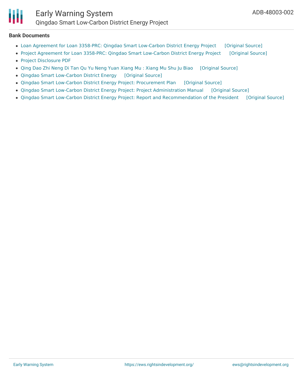

#### **Bank Documents**

- Loan Agreement for Loan 3358-PRC: Qingdao Smart [Low-Carbon](https://ewsdata.rightsindevelopment.org/files/documents/02/ADB-48003-002.pdf) District Energy Project [\[Original](https://www.adb.org/projects/documents/loan-3358-prc-qingdao-smart-low-carbon-district-lbj) Source]
- Project Agreement for Loan 3358-PRC: Qingdao Smart [Low-Carbon](https://ewsdata.rightsindevelopment.org/files/documents/02/ADB-48003-002_l4O1h1Z.pdf) District Energy Project [\[Original](https://www.adb.org/projects/documents/loan-3358-prc-qingdao-smart-low-carbon-district-pa1) Source]
- Project [Disclosure](https://www.adb.org/printpdf/projects/48003-002/main) PDF
- Qing Dao Zhi Neng Di Tan Qu Yu Neng Yuan [Xiang](https://ewsdata.rightsindevelopment.org/files/documents/02/ADB-48003-002_li7JIHF.pdf) Mu : Xiang Mu Shu Ju Biao [\[Original](https://www.adb.org/zh/projects/documents/48003-002-project-data-sheet) Source]
- Qingdao Smart [Low-Carbon](https://ewsdata.rightsindevelopment.org/files/documents/02/ADB-48003-002_FcAYt8p.pdf) District Energy [\[Original](https://www.adb.org/projects/documents/qingdao-smart-low-carbon-district-energy-ipsa) Source]
- Qingdao Smart Low-Carbon District Energy Project: [Procurement](https://ewsdata.rightsindevelopment.org/files/documents/02/ADB-48003-002_21Ljfw1.pdf) Plan [\[Original](https://www.adb.org/projects/documents/prc-qingdao-smart-low-carbon-district-energy-project-pp) Source]
- Qingdao Smart Low-Carbon District Energy Project: Project [Administration](https://ewsdata.rightsindevelopment.org/files/documents/02/ADB-48003-002_gaTf9yK.pdf) Manual [\[Original](https://www.adb.org/projects/documents/prc-qingdao-smart-low-carbon-district-energy-project-pam) Source]
- Qingdao Smart Low-Carbon District Energy Project: Report and [Recommendation](https://ewsdata.rightsindevelopment.org/files/documents/02/ADB-48003-002_jX1Aom9.pdf) of the President [\[Original](https://www.adb.org/projects/documents/prc-qingdao-smart-low-carbon-district-energy-project-rrp) Source]